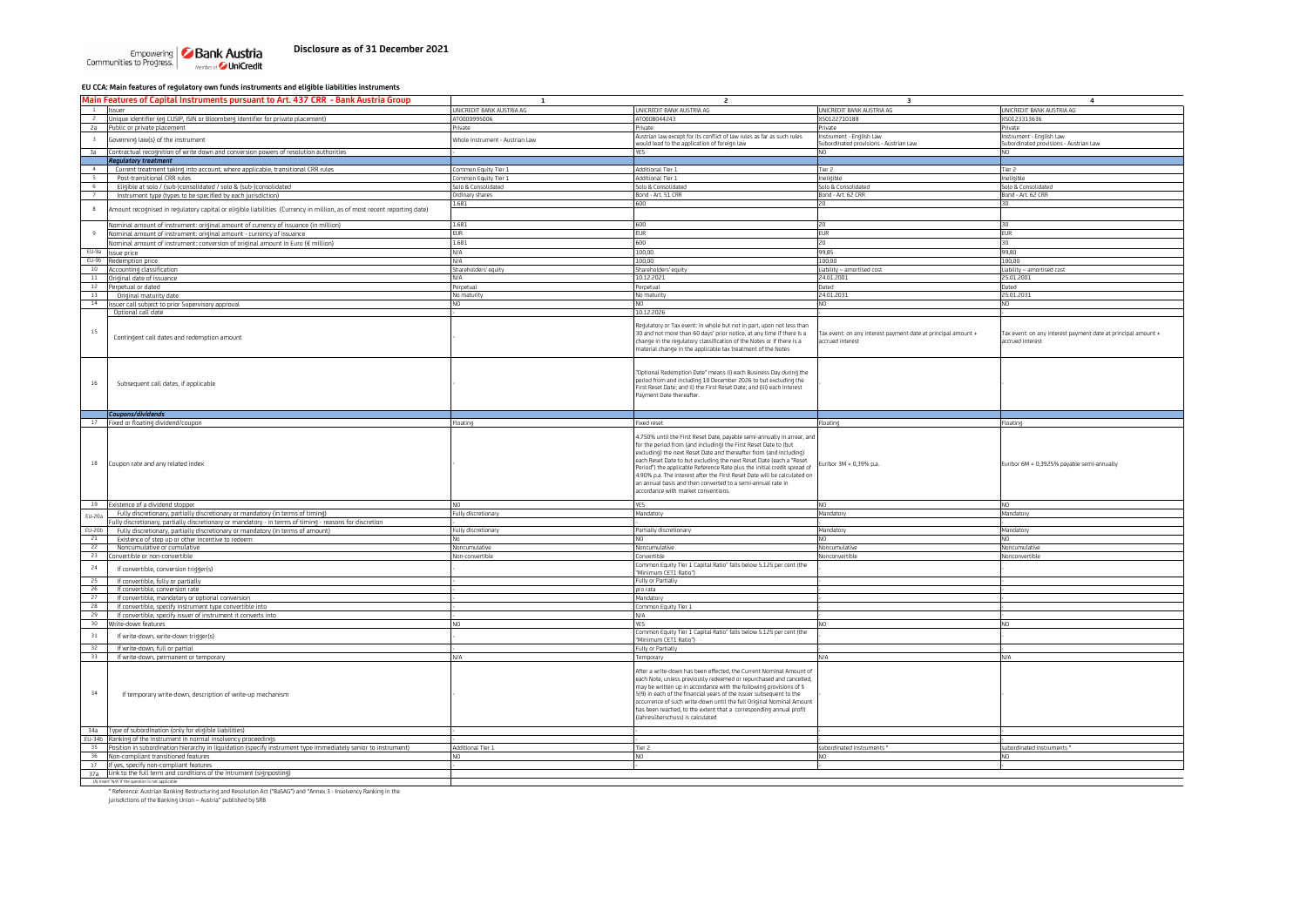**EU CCA: Main features of regulatory own funds instruments and eligible liabilities instruments**

|               | Main Features of Capital Instruments pursuant to Art. 437 CRR - Bank Austria Group                                      | $\mathbf{1}$                    | $\overline{a}$                                                                                                                                                                                                                                                                                                                                                                                                                                                                                                                                         | $\overline{\mathbf{3}}$                                       | $\overline{4}$                                                |
|---------------|-------------------------------------------------------------------------------------------------------------------------|---------------------------------|--------------------------------------------------------------------------------------------------------------------------------------------------------------------------------------------------------------------------------------------------------------------------------------------------------------------------------------------------------------------------------------------------------------------------------------------------------------------------------------------------------------------------------------------------------|---------------------------------------------------------------|---------------------------------------------------------------|
|               | <b>Issuer</b>                                                                                                           | UNICREDIT BANK AUSTRIA AG       | UNICREDIT BANK AUSTRIA AG                                                                                                                                                                                                                                                                                                                                                                                                                                                                                                                              | UNICREDIT BANK AUSTRIA AG                                     | UNICREDIT BANK AUSTRIA AG                                     |
| $\rightarrow$ | Unique identifier (eg CUSIP, ISIN or Bloomberg identifier for private placement)                                        | AT0000995006                    | AT000B044243                                                                                                                                                                                                                                                                                                                                                                                                                                                                                                                                           | XS0122710188                                                  | XS0123313636                                                  |
| 2a            | Public or private placement                                                                                             | Private                         | Private                                                                                                                                                                                                                                                                                                                                                                                                                                                                                                                                                | Private                                                       | Private                                                       |
|               |                                                                                                                         |                                 | Austrian law except for its conflict of law rules as far as such rules                                                                                                                                                                                                                                                                                                                                                                                                                                                                                 | Instrument - English Law                                      | Instrument - English Law                                      |
|               | Governing law(s) of the instrument                                                                                      | Whole Instrument - Austrian Law | would lead to the application of foreign law                                                                                                                                                                                                                                                                                                                                                                                                                                                                                                           | Subordinated provisions - Austrian Law                        | Subordinated provisions - Austrian Law                        |
| 3a            | Contractual recognition of write down and conversion powers of resolution authorities                                   |                                 | YES                                                                                                                                                                                                                                                                                                                                                                                                                                                                                                                                                    | N <sub>O</sub>                                                | NO.                                                           |
|               | <b>Requlatory treatment</b>                                                                                             |                                 |                                                                                                                                                                                                                                                                                                                                                                                                                                                                                                                                                        |                                                               |                                                               |
| $\sim$        | Current treatment taking into account, where applicable, transitional CRR rules                                         | Common Equity Tier 1            | Additional Tier 1                                                                                                                                                                                                                                                                                                                                                                                                                                                                                                                                      | Tier 2                                                        | Tier 2                                                        |
|               | Post-transitional CRR rules                                                                                             | Common Equity Tier 1            | Additional Tier 1                                                                                                                                                                                                                                                                                                                                                                                                                                                                                                                                      | Ineligible                                                    | Ineligible                                                    |
| 6             | Eligible at solo / (sub-)consolidated / solo & (sub-)consolidated                                                       | Solo & Consolidated             | iolo & Consolidated                                                                                                                                                                                                                                                                                                                                                                                                                                                                                                                                    | Solo & Consolidated                                           | Solo & Consolidated                                           |
|               | Instrument type (types to be specified by each jurisdiction)                                                            | Ordinary shares                 | Bond - Art. 51 CRR                                                                                                                                                                                                                                                                                                                                                                                                                                                                                                                                     | Bond - Art. 62 CRR                                            | Bond - Art. 62 CRR                                            |
|               |                                                                                                                         | 1.681                           | 600                                                                                                                                                                                                                                                                                                                                                                                                                                                                                                                                                    | 120                                                           | 30                                                            |
| $^{\rm 8}$    | Amount recognised in regulatory capital or eligible liabilities (Currency in million, as of most recent reporting date) |                                 |                                                                                                                                                                                                                                                                                                                                                                                                                                                                                                                                                        |                                                               |                                                               |
|               |                                                                                                                         |                                 |                                                                                                                                                                                                                                                                                                                                                                                                                                                                                                                                                        |                                                               |                                                               |
|               | Nominal amount of instrument: original amount of currency of issuance (in million)                                      | 1.681                           | 600<br>EUR                                                                                                                                                                                                                                                                                                                                                                                                                                                                                                                                             | 20<br><b>FUR</b>                                              | 30<br><b>EUR</b>                                              |
| $\mathsf q$   | Nominal amount of instrument: original amount - currency of issuance                                                    | FUR.                            |                                                                                                                                                                                                                                                                                                                                                                                                                                                                                                                                                        |                                                               |                                                               |
|               | Nominal amount of instrument: conversion of original amount in Euro (€ million)                                         | 1.681                           | 600                                                                                                                                                                                                                                                                                                                                                                                                                                                                                                                                                    | 20                                                            | 30                                                            |
|               | EU-9a Issue price                                                                                                       | N/A                             | 100.00                                                                                                                                                                                                                                                                                                                                                                                                                                                                                                                                                 | 99.85                                                         | 99,80                                                         |
| EU-9b         | Redemption price                                                                                                        | N/A                             | 100,00                                                                                                                                                                                                                                                                                                                                                                                                                                                                                                                                                 | 100,00                                                        | 100,00                                                        |
| 10            | Accounting classification                                                                                               | Shareholders' equity            | Shareholders' equity                                                                                                                                                                                                                                                                                                                                                                                                                                                                                                                                   | Liability - amortised cost                                    | Liability - amortised cost                                    |
| 11            | Original date of issuance                                                                                               | N/A                             | 10.12.2021                                                                                                                                                                                                                                                                                                                                                                                                                                                                                                                                             | 24.01.2001                                                    | 25.01.2001                                                    |
| 12            | Perpetual or dated                                                                                                      | Perpetual                       | Perpetual                                                                                                                                                                                                                                                                                                                                                                                                                                                                                                                                              | Dated                                                         | Dated                                                         |
| 13            | Original maturity date                                                                                                  | No maturity                     | No maturity                                                                                                                                                                                                                                                                                                                                                                                                                                                                                                                                            | 24.01.2031                                                    | 25.01.2031                                                    |
| 14            | Issuer call subject to prior Supervisory approval                                                                       | NO.                             | NO.                                                                                                                                                                                                                                                                                                                                                                                                                                                                                                                                                    | NO.                                                           | NO.                                                           |
|               | Optional call date                                                                                                      |                                 | 10.12.2026                                                                                                                                                                                                                                                                                                                                                                                                                                                                                                                                             |                                                               |                                                               |
|               |                                                                                                                         |                                 | Regulatory or Tax event: in whole but not in part, upon not less than                                                                                                                                                                                                                                                                                                                                                                                                                                                                                  |                                                               |                                                               |
| $15\,$        |                                                                                                                         |                                 | 30 and not more than 60 days' prior notice, at any time if there is a                                                                                                                                                                                                                                                                                                                                                                                                                                                                                  | Tax event: on any interest payment date at principal amount + | Tax event: on any interest payment date at principal amount + |
|               | Contingent call dates and redemption amount                                                                             |                                 | change in the regulatory classification of the Notes or if there is a                                                                                                                                                                                                                                                                                                                                                                                                                                                                                  | accrued interest                                              | accrued interest                                              |
|               |                                                                                                                         |                                 | naterial change in the applicable tax treatment of the Notes                                                                                                                                                                                                                                                                                                                                                                                                                                                                                           |                                                               |                                                               |
|               |                                                                                                                         |                                 |                                                                                                                                                                                                                                                                                                                                                                                                                                                                                                                                                        |                                                               |                                                               |
|               |                                                                                                                         |                                 |                                                                                                                                                                                                                                                                                                                                                                                                                                                                                                                                                        |                                                               |                                                               |
|               |                                                                                                                         |                                 | 'Optional Redemption Date" means (i) each Business Day during the                                                                                                                                                                                                                                                                                                                                                                                                                                                                                      |                                                               |                                                               |
| 16            | Subsequent call dates, if applicable                                                                                    |                                 | period from and including 10 December 2026 to but excluding the                                                                                                                                                                                                                                                                                                                                                                                                                                                                                        |                                                               |                                                               |
|               |                                                                                                                         |                                 | .<br>First Reset Date; and ii) the First Reset Date; and (iii) each Interest                                                                                                                                                                                                                                                                                                                                                                                                                                                                           |                                                               |                                                               |
|               |                                                                                                                         |                                 | Payment Date thereafter.                                                                                                                                                                                                                                                                                                                                                                                                                                                                                                                               |                                                               |                                                               |
|               |                                                                                                                         |                                 |                                                                                                                                                                                                                                                                                                                                                                                                                                                                                                                                                        |                                                               |                                                               |
|               | Coupons/dividends                                                                                                       |                                 |                                                                                                                                                                                                                                                                                                                                                                                                                                                                                                                                                        |                                                               |                                                               |
|               | 17 Fixed or floating dividend/coupon                                                                                    | Floating                        | Fixed reset                                                                                                                                                                                                                                                                                                                                                                                                                                                                                                                                            | Floating                                                      | Floating                                                      |
| 18            | Coupon rate and any related index                                                                                       |                                 | 4.750% until the First Reset Date, payable semi-annually in arrear, and<br>for the period from (and including) the First Reset Date to (but<br>excluding) the next Reset Date and thereafter from (and including)<br>each Reset Date to but excluding the next Reset Date (each a "Reset<br>Period") the applicable Reference Rate plus the initial credit spread of<br>4.90% p.a. The interest after the First Reset Date will be calculated on<br>an annual basis and then converted to a semi-annual rate in<br>accordance with market conventions. | Euribor 3M + 0.39% p.a.                                       | Euribor 6M + 0,3925% payable semi-annually                    |
|               |                                                                                                                         |                                 |                                                                                                                                                                                                                                                                                                                                                                                                                                                                                                                                                        |                                                               |                                                               |
|               |                                                                                                                         |                                 |                                                                                                                                                                                                                                                                                                                                                                                                                                                                                                                                                        |                                                               |                                                               |
| 19            | xistence of a dividend stopper                                                                                          | NO.                             | YES                                                                                                                                                                                                                                                                                                                                                                                                                                                                                                                                                    | NO.                                                           | NO.                                                           |
| EU-20a        | Fully discretionary, partially discretionary or mandatory (in terms of timing)                                          | Fully discretionary             | Mandatory                                                                                                                                                                                                                                                                                                                                                                                                                                                                                                                                              | Mandatory                                                     | Mandatory                                                     |
|               | Ully discretionary, partially discretionary or mandatory - in terms of timing - reasons for discretion                  |                                 |                                                                                                                                                                                                                                                                                                                                                                                                                                                                                                                                                        |                                                               |                                                               |
| $EU-20b$      | Fully discretionary, partially discretionary or mandatory (in terms of amount)                                          | Fully discretionary             | Partially discretionary                                                                                                                                                                                                                                                                                                                                                                                                                                                                                                                                | Mandatory                                                     | Mandatory                                                     |
| 21            | Existence of step up or other incentive to redeem                                                                       | No                              | NO.                                                                                                                                                                                                                                                                                                                                                                                                                                                                                                                                                    | NO.                                                           | N <sub>O</sub>                                                |
| 22            | Noncumulative or cumulative                                                                                             | Noncumulative                   | Noncumulative                                                                                                                                                                                                                                                                                                                                                                                                                                                                                                                                          | Noncumulative                                                 | Noncumulative                                                 |
| 23            | onvertible or non-convertible                                                                                           | Non-convertible                 | Convertible                                                                                                                                                                                                                                                                                                                                                                                                                                                                                                                                            | Nonconvertible                                                | Nonconvertible                                                |
| 24            | If convertible, conversion trigger(s)                                                                                   |                                 | Common Equity Tier 1 Capital Ratio" falls below 5.125 per cent (the<br>'Minimum CET1 Ratio")                                                                                                                                                                                                                                                                                                                                                                                                                                                           |                                                               |                                                               |
| 25            | If convertible, fully or partially                                                                                      |                                 | Fully or Partially                                                                                                                                                                                                                                                                                                                                                                                                                                                                                                                                     |                                                               |                                                               |
| 26            | If convertible, conversion rate                                                                                         |                                 | pro rata                                                                                                                                                                                                                                                                                                                                                                                                                                                                                                                                               |                                                               |                                                               |
| 27            | If convertible, mandatory or optional conversion                                                                        |                                 |                                                                                                                                                                                                                                                                                                                                                                                                                                                                                                                                                        |                                                               |                                                               |
| 28            | If convertible, specify instrument type convertible into                                                                |                                 | Mandatory<br>Common Equity Tier 1                                                                                                                                                                                                                                                                                                                                                                                                                                                                                                                      |                                                               |                                                               |
| 29            | If convertible, specify issuer of instrument it converts into                                                           |                                 | N/A                                                                                                                                                                                                                                                                                                                                                                                                                                                                                                                                                    |                                                               |                                                               |
| 30            | Nrite-down features                                                                                                     | NO.                             | YES                                                                                                                                                                                                                                                                                                                                                                                                                                                                                                                                                    | NO.                                                           | NO.                                                           |
|               |                                                                                                                         |                                 | Common Equity Tier 1 Capital Ratio" falls below 5.125 per cent (the                                                                                                                                                                                                                                                                                                                                                                                                                                                                                    |                                                               |                                                               |
| 31            | If write-down, write-down trigger(s)                                                                                    |                                 | 'Minimum CET1 Ratio")                                                                                                                                                                                                                                                                                                                                                                                                                                                                                                                                  |                                                               |                                                               |
| 32            | If write-down, full or partial                                                                                          |                                 | Fully or Partially                                                                                                                                                                                                                                                                                                                                                                                                                                                                                                                                     |                                                               |                                                               |
| 33            | If write-down, permanent or temporary                                                                                   | N/A                             | Temporary                                                                                                                                                                                                                                                                                                                                                                                                                                                                                                                                              | N/A                                                           | N/A                                                           |
|               |                                                                                                                         |                                 |                                                                                                                                                                                                                                                                                                                                                                                                                                                                                                                                                        |                                                               |                                                               |
| 34            | If temporary write-down, description of write-up mechanism                                                              |                                 | After a write-down has been effected, the Current Nominal Amount of<br>each Note, unless previously redeemed or repurchased and cancelled,<br>may be written up in accordance with the following provisions of §<br>5(9) in each of the financial years of the Issuer subsequent to the<br>occurrence of such write-down until the full Original Nominal Amount<br>has been reached, to the extent that a corresponding annual profit<br>(Jahresüberschuss) is calculated                                                                              |                                                               |                                                               |
|               |                                                                                                                         |                                 |                                                                                                                                                                                                                                                                                                                                                                                                                                                                                                                                                        |                                                               |                                                               |
| 34a           | Type of subordination (only for eligible liabilities)                                                                   |                                 |                                                                                                                                                                                                                                                                                                                                                                                                                                                                                                                                                        |                                                               |                                                               |
| EU-34b<br>35  | Ranking of the instrument in normal insolvency proceedings                                                              | Additional Tier 1               |                                                                                                                                                                                                                                                                                                                                                                                                                                                                                                                                                        |                                                               |                                                               |
| 36            | Position in subordination hierarchy in liquidation (specify instrument type immediately senior to instrument)           | NO <sub>1</sub>                 | Tier 2<br>N <sub>O</sub>                                                                                                                                                                                                                                                                                                                                                                                                                                                                                                                               | subordinated instruments *<br>NO.                             | subordinated instruments *<br>N <sub>O</sub>                  |
| 37            | Non-compliant transitioned features                                                                                     |                                 |                                                                                                                                                                                                                                                                                                                                                                                                                                                                                                                                                        |                                                               |                                                               |
|               | If yes, specify non-compliant features<br>37a Link to the full term and conditions of the intrument (signposting)       |                                 |                                                                                                                                                                                                                                                                                                                                                                                                                                                                                                                                                        |                                                               |                                                               |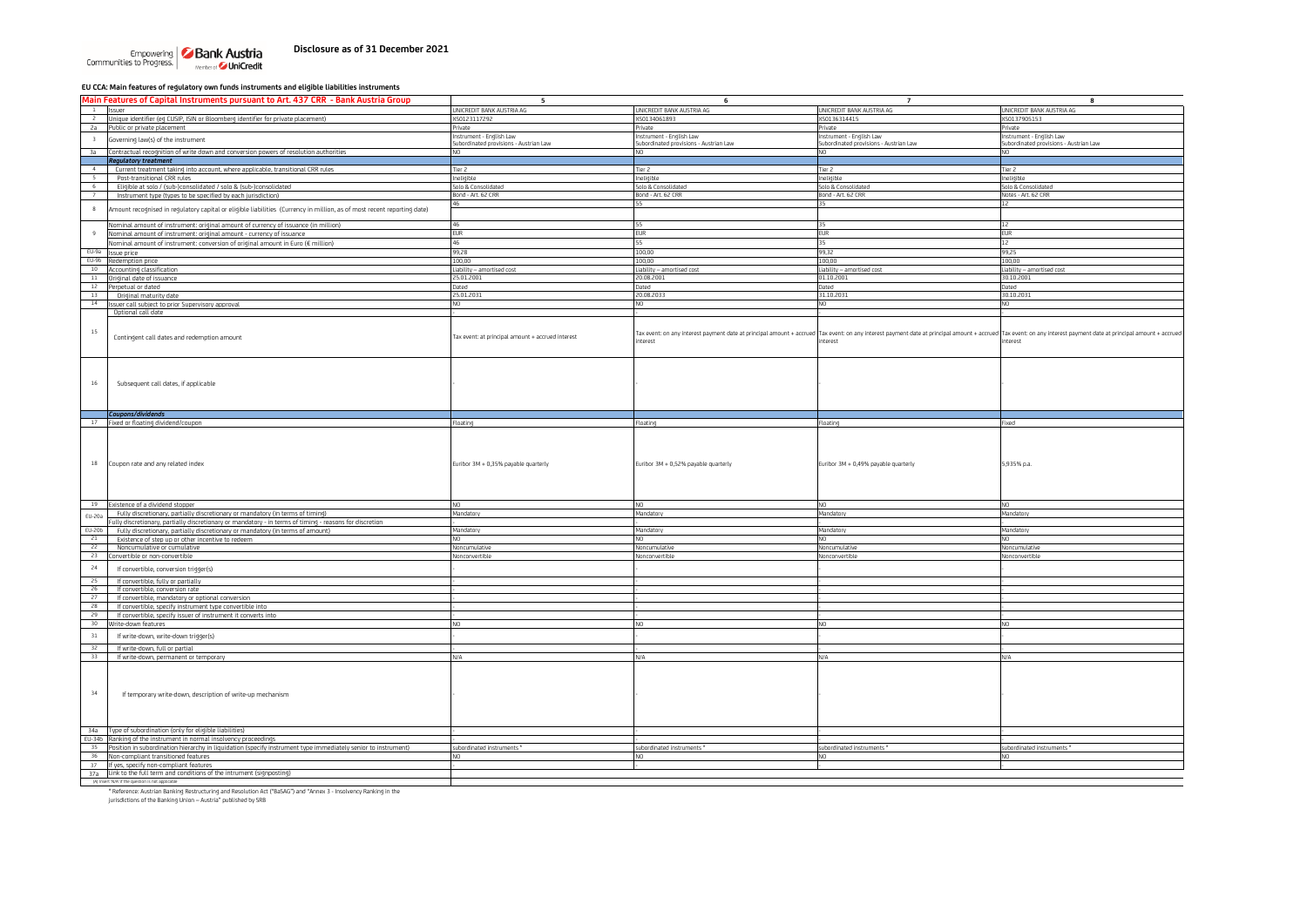# **Disclosure as of 31 December 2021**

Empowering **Bank Austria**<br>Communities to Progress.

#### **EU CCA: Main features of regulatory own funds instruments and eligible liabilities instruments**

| Main Features of Capital Instruments pursuant to Art. 437 CRR - Bank Austria Group                                           | 5                                                                  | 6                                                                  | $\overline{7}$                                                                                                                                                                                                    | 8                                                                 |
|------------------------------------------------------------------------------------------------------------------------------|--------------------------------------------------------------------|--------------------------------------------------------------------|-------------------------------------------------------------------------------------------------------------------------------------------------------------------------------------------------------------------|-------------------------------------------------------------------|
| 1 Issuer                                                                                                                     | UNICREDIT BANK AUSTRIA AG                                          | UNICREDIT BANK AUSTRIA AG                                          | UNICREDIT BANK AUSTRIA AG                                                                                                                                                                                         | UNICREDIT BANK AUSTRIA AG                                         |
| <sup>2</sup> Unique identifier (eg CUSIP, ISIN or Bloomberg identifier for private placement)                                | XS0123117292                                                       | XS0134061893                                                       | XS0136314415                                                                                                                                                                                                      | XS0137905153                                                      |
|                                                                                                                              | Private                                                            | Private                                                            | Private                                                                                                                                                                                                           |                                                                   |
| 2a Public or private placement                                                                                               |                                                                    |                                                                    |                                                                                                                                                                                                                   | Private                                                           |
| Governing law(s) of the instrument<br>$\overline{3}$                                                                         | Instrument - English Law<br>Subordinated provisions - Austrian Law | Instrument - English Law<br>Subordinated provisions - Austrian Law | Instrument - English Law<br>Subordinated provisions - Austrian Law                                                                                                                                                | nstrument - English Law<br>Subordinated provisions - Austrian Law |
|                                                                                                                              |                                                                    |                                                                    |                                                                                                                                                                                                                   |                                                                   |
| 3a Contractual recognition of write down and conversion powers of resolution authorities                                     | NO.                                                                | NO.                                                                | N <sub>O</sub>                                                                                                                                                                                                    | N <sub>O</sub>                                                    |
| <b>Regulatory treatment</b>                                                                                                  |                                                                    |                                                                    |                                                                                                                                                                                                                   |                                                                   |
| $\sim$<br>Current treatment taking into account, where applicable, transitional CRR rules                                    | Tier 2                                                             | Tier 2                                                             | Tier 2                                                                                                                                                                                                            | Tier 2                                                            |
| $\sim$<br>Post-transitional CRR rules                                                                                        | Ineligible                                                         | Ineligible                                                         | Ineligible                                                                                                                                                                                                        | Ineligible                                                        |
| Eligible at solo / (sub-)consolidated / solo & (sub-)consolidated<br>6                                                       | Solo & Consolidated                                                | Solo & Consolidated                                                | Solo & Consolidated                                                                                                                                                                                               | Solo & Consolidated                                               |
| Instrument type (types to be specified by each jurisdiction)<br>7                                                            | Bond - Art. 62 CRR                                                 | Bond - Art. 62 CRR                                                 | Bond - Art. 62 CRR                                                                                                                                                                                                | Notes - Art. 62 CRR                                               |
|                                                                                                                              | 46                                                                 | 55                                                                 | 35                                                                                                                                                                                                                | 12                                                                |
| 8<br>Amount recognised in regulatory capital or eligible liabilities (Currency in million, as of most recent reporting date) |                                                                    |                                                                    |                                                                                                                                                                                                                   |                                                                   |
|                                                                                                                              |                                                                    |                                                                    |                                                                                                                                                                                                                   |                                                                   |
| Nominal amount of instrument: original amount of currency of issuance (in million)                                           | 46                                                                 | 55                                                                 | 35                                                                                                                                                                                                                | 12                                                                |
| Nominal amount of instrument: original amount - currency of issuance                                                         | <b>EUR</b>                                                         | <b>EUR</b>                                                         | <b>EUR</b>                                                                                                                                                                                                        | <b>EUR</b>                                                        |
| Nominal amount of instrument: conversion of original amount in Euro (€ million)                                              | 46                                                                 | 55                                                                 | 35                                                                                                                                                                                                                | 12                                                                |
| EU-9a Issue price                                                                                                            | 99,28                                                              | 100,00                                                             | 99,32                                                                                                                                                                                                             | 99,25                                                             |
| EU-9b Redemption price                                                                                                       | 100.00                                                             | 100.00                                                             | 100,00                                                                                                                                                                                                            | 100.00                                                            |
| 10 Accounting classification                                                                                                 | Liability - amortised cost                                         | Liability - amortised cost                                         | Liability - amortised cost                                                                                                                                                                                        | Liability – amortised cost                                        |
| 11 Original date of issuance                                                                                                 | 25.01.2001                                                         | 20.08.2001                                                         | 01.10.2001                                                                                                                                                                                                        | 30.10.2001                                                        |
| $12$<br>Perpetual or dated                                                                                                   | Dated                                                              | Dated                                                              | Dated                                                                                                                                                                                                             | Dated                                                             |
| 13                                                                                                                           | 25.01.2031                                                         | 20.08.2033                                                         | 31.10.2031                                                                                                                                                                                                        | 30.10.2031                                                        |
| Original maturity date                                                                                                       | NO.                                                                | N <sub>0</sub>                                                     | NO.                                                                                                                                                                                                               |                                                                   |
| 14 Issuer call subject to prior Supervisory approval                                                                         |                                                                    |                                                                    |                                                                                                                                                                                                                   |                                                                   |
| Optional call date                                                                                                           |                                                                    |                                                                    |                                                                                                                                                                                                                   |                                                                   |
|                                                                                                                              |                                                                    |                                                                    |                                                                                                                                                                                                                   |                                                                   |
| 15                                                                                                                           |                                                                    |                                                                    | Tax event: on any interest payment date at principal amount + accrued Tax event: on any interest payment date at principal amount + accrued Tax event: on any interest payment date at principal amount + accrued |                                                                   |
| Contingent call dates and redemption amount                                                                                  | Tax event: at principal amount + accrued interest                  | interest                                                           | nterest                                                                                                                                                                                                           | terest                                                            |
|                                                                                                                              |                                                                    |                                                                    |                                                                                                                                                                                                                   |                                                                   |
|                                                                                                                              |                                                                    |                                                                    |                                                                                                                                                                                                                   |                                                                   |
|                                                                                                                              |                                                                    |                                                                    |                                                                                                                                                                                                                   |                                                                   |
|                                                                                                                              |                                                                    |                                                                    |                                                                                                                                                                                                                   |                                                                   |
| $16\,$                                                                                                                       |                                                                    |                                                                    |                                                                                                                                                                                                                   |                                                                   |
| Subsequent call dates, if applicable                                                                                         |                                                                    |                                                                    |                                                                                                                                                                                                                   |                                                                   |
|                                                                                                                              |                                                                    |                                                                    |                                                                                                                                                                                                                   |                                                                   |
|                                                                                                                              |                                                                    |                                                                    |                                                                                                                                                                                                                   |                                                                   |
| Coupons/dividends                                                                                                            |                                                                    |                                                                    |                                                                                                                                                                                                                   |                                                                   |
| 17 Fixed or floating dividend/coupon                                                                                         | Floating                                                           | Floating                                                           | Floating                                                                                                                                                                                                          | ixed                                                              |
|                                                                                                                              |                                                                    |                                                                    |                                                                                                                                                                                                                   |                                                                   |
|                                                                                                                              |                                                                    |                                                                    |                                                                                                                                                                                                                   |                                                                   |
|                                                                                                                              |                                                                    |                                                                    |                                                                                                                                                                                                                   |                                                                   |
|                                                                                                                              |                                                                    |                                                                    |                                                                                                                                                                                                                   |                                                                   |
|                                                                                                                              |                                                                    |                                                                    |                                                                                                                                                                                                                   |                                                                   |
| 18<br>Coupon rate and any related index                                                                                      | Euribor 3M + 0,35% payable quarterly                               | Euribor 3M + 0,52% payable quarterly                               | Euribor 3M + 0,49% payable quarterly                                                                                                                                                                              | 5,935% p.a                                                        |
|                                                                                                                              |                                                                    |                                                                    |                                                                                                                                                                                                                   |                                                                   |
|                                                                                                                              |                                                                    |                                                                    |                                                                                                                                                                                                                   |                                                                   |
|                                                                                                                              |                                                                    |                                                                    |                                                                                                                                                                                                                   |                                                                   |
|                                                                                                                              |                                                                    |                                                                    |                                                                                                                                                                                                                   |                                                                   |
| 19 Existence of a dividend stopper                                                                                           | NO.                                                                | N <sub>0</sub>                                                     | NO.                                                                                                                                                                                                               | N <sub>O</sub>                                                    |
| Fully discretionary, partially discretionary or mandatory (in terms of timing)<br>EU-20a                                     | Mandatory                                                          | Mandatory                                                          | Mandatory                                                                                                                                                                                                         | Mandatory                                                         |
| ully discretionary, partially discretionary or mandatory - in terms of timing - reasons for discretion                       |                                                                    |                                                                    |                                                                                                                                                                                                                   |                                                                   |
| EU-20b<br>Fully discretionary, partially discretionary or mandatory (in terms of amount)                                     | Mandatory                                                          | Mandatory                                                          | Mandatory                                                                                                                                                                                                         | Mandatory                                                         |
| Existence of step up or other incentive to redeem<br>21                                                                      | NΩ                                                                 | NO.                                                                | NO                                                                                                                                                                                                                |                                                                   |
| 22<br>Noncumulative or cumulative                                                                                            | Noncumulative                                                      | Noncumulative                                                      | Noncumulative                                                                                                                                                                                                     | Noncumulative                                                     |
| 23 Convertible or non-convertible                                                                                            | Nonconvertible                                                     | Nonconvertible                                                     | Nonconvertible                                                                                                                                                                                                    | Nonconvertible                                                    |
| 24<br>If convertible, conversion trigger(s)                                                                                  |                                                                    |                                                                    |                                                                                                                                                                                                                   |                                                                   |
|                                                                                                                              |                                                                    |                                                                    |                                                                                                                                                                                                                   |                                                                   |
| 25<br>If convertible, fully or partially                                                                                     |                                                                    |                                                                    |                                                                                                                                                                                                                   |                                                                   |
| 26<br>If convertible, conversion rate                                                                                        |                                                                    |                                                                    |                                                                                                                                                                                                                   |                                                                   |
| 27<br>If convertible, mandatory or optional conversion                                                                       |                                                                    |                                                                    |                                                                                                                                                                                                                   |                                                                   |
| 28<br>If convertible, specify instrument type convertible into                                                               |                                                                    |                                                                    |                                                                                                                                                                                                                   |                                                                   |
| 29<br>If convertible, specify issuer of instrument it converts into                                                          |                                                                    |                                                                    |                                                                                                                                                                                                                   |                                                                   |
| 30 <sub>o</sub><br>Write-down features                                                                                       | N <sub>O</sub>                                                     | N <sub>O</sub>                                                     | NO.                                                                                                                                                                                                               |                                                                   |
|                                                                                                                              |                                                                    |                                                                    |                                                                                                                                                                                                                   |                                                                   |
| 31<br>If write-down, write-down triqqer(s)                                                                                   |                                                                    |                                                                    |                                                                                                                                                                                                                   |                                                                   |
| 32<br>If write-down, full or partial                                                                                         |                                                                    |                                                                    |                                                                                                                                                                                                                   |                                                                   |
| 33<br>If write-down, permanent or temporary                                                                                  | N/A                                                                | N/A                                                                | N/A                                                                                                                                                                                                               | N/A                                                               |
|                                                                                                                              |                                                                    |                                                                    |                                                                                                                                                                                                                   |                                                                   |
|                                                                                                                              |                                                                    |                                                                    |                                                                                                                                                                                                                   |                                                                   |
|                                                                                                                              |                                                                    |                                                                    |                                                                                                                                                                                                                   |                                                                   |
|                                                                                                                              |                                                                    |                                                                    |                                                                                                                                                                                                                   |                                                                   |
| 34<br>If temporary write-down, description of write-up mechanism                                                             |                                                                    |                                                                    |                                                                                                                                                                                                                   |                                                                   |
|                                                                                                                              |                                                                    |                                                                    |                                                                                                                                                                                                                   |                                                                   |
|                                                                                                                              |                                                                    |                                                                    |                                                                                                                                                                                                                   |                                                                   |
|                                                                                                                              |                                                                    |                                                                    |                                                                                                                                                                                                                   |                                                                   |
| 34a Type of subordination (only for eligible liabilities)                                                                    |                                                                    |                                                                    |                                                                                                                                                                                                                   |                                                                   |
|                                                                                                                              |                                                                    |                                                                    |                                                                                                                                                                                                                   |                                                                   |
| EU-34b Ranking of the instrument in normal insolvency proceedings                                                            |                                                                    |                                                                    |                                                                                                                                                                                                                   |                                                                   |
| 35 Position in subordination hierarchy in liquidation (specify instrument type immediately senior to instrument)             | subordinated instruments *                                         | subordinated instruments *                                         | subordinated instruments *                                                                                                                                                                                        | subordinated instruments *                                        |
| 36 Non-compliant transitioned features                                                                                       | NO.                                                                | NO.                                                                | NO.                                                                                                                                                                                                               |                                                                   |
| 37 If yes, specify non-compliant features                                                                                    |                                                                    |                                                                    |                                                                                                                                                                                                                   |                                                                   |
| 37a Link to the full term and conditions of the intrument (signposting)                                                      |                                                                    |                                                                    |                                                                                                                                                                                                                   |                                                                   |
| (A) Insert 'N/A' if the question is not applicable                                                                           |                                                                    |                                                                    |                                                                                                                                                                                                                   |                                                                   |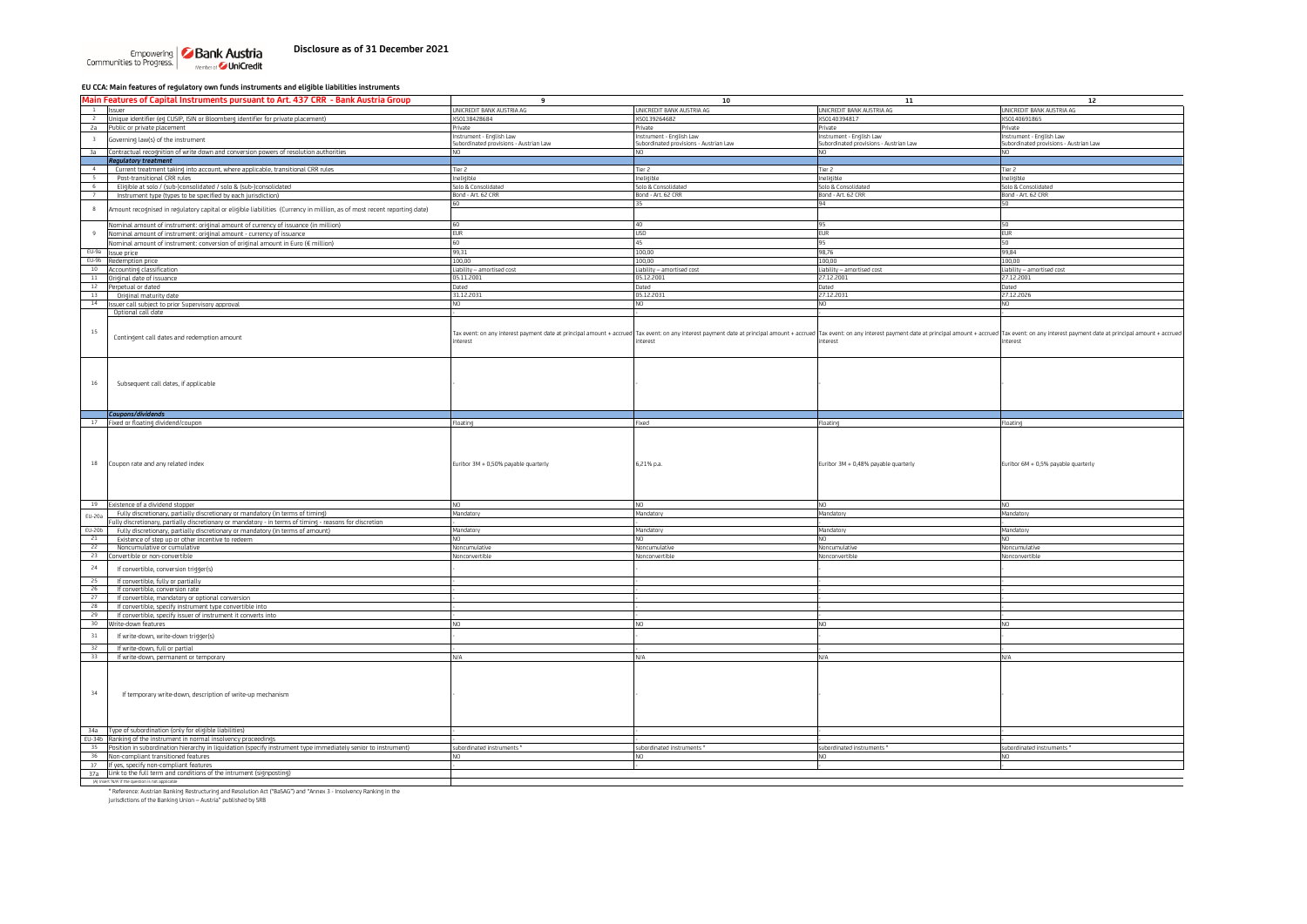# **Disclosure as of 31 December 2021**

Empowering **Bank Austria**<br>Communities to Progress.

#### **EU CCA: Main features of regulatory own funds instruments and eligible liabilities instruments**

| Main Features of Capital Instruments pursuant to Art. 437 CRR - Bank Austria Group                                                     | $\mathbf{q}$                              | 10                                                                                                                                                                                                                           | ${\bf 11}$                                | 12                                                                               |
|----------------------------------------------------------------------------------------------------------------------------------------|-------------------------------------------|------------------------------------------------------------------------------------------------------------------------------------------------------------------------------------------------------------------------------|-------------------------------------------|----------------------------------------------------------------------------------|
| Issuer                                                                                                                                 | UNICREDIT BANK AUSTRIA AG                 | UNICREDIT BANK AUSTRIA AG                                                                                                                                                                                                    | UNICREDIT BANK AUSTRIA AG                 | UNICREDIT BANK AUSTRIA AG                                                        |
| <sup>2</sup> Unique identifier (eg CUSIP, ISIN or Bloomberg identifier for private placement)                                          | XS0138428684                              | XS0139264682                                                                                                                                                                                                                 | XS0140394817                              | <s0140691865< td=""></s0140691865<>                                              |
| 2a Public or private placement                                                                                                         | Private                                   | Private                                                                                                                                                                                                                      | Private                                   | rivate                                                                           |
| Governing law(s) of the instrument<br>$\overline{\mathbf{3}}$                                                                          | Instrument - English Law                  | Instrument - English Law                                                                                                                                                                                                     | Instrument - English Law                  | Instrument - English Law                                                         |
|                                                                                                                                        | Subordinated provisions - Austrian Law    | Subordinated provisions - Austrian Law                                                                                                                                                                                       | Subordinated provisions - Austrian Law    | Subordinated provisions - Austrian Law                                           |
| Contractual recognition of write down and conversion powers of resolution authorities<br>3a                                            | NO                                        | NO.                                                                                                                                                                                                                          | NO.                                       | N <sub>O</sub>                                                                   |
| <b>Regulatory treatment</b>                                                                                                            |                                           |                                                                                                                                                                                                                              |                                           |                                                                                  |
| 4<br>Current treatment taking into account, where applicable, transitional CRR rules                                                   | Tier <sub>2</sub>                         | Tier 2                                                                                                                                                                                                                       | Tier <sub>2</sub>                         | Tier 2                                                                           |
| Post-transitional CRR rules<br>6                                                                                                       | Ineligible                                | Ineligible                                                                                                                                                                                                                   | Ineligible                                | Ineligible                                                                       |
| Eligible at solo / (sub-)consolidated / solo & (sub-)consolidated<br>Instrument type (types to be specified by each jurisdiction)<br>7 | Solo & Consolidated<br>Bond - Art. 62 CRR | Solo & Consolidated<br>Bond - Art. 62 CRR                                                                                                                                                                                    | Solo & Consolidated<br>Bond - Art. 62 CRR | Solo & Consolidated<br>Bond - Art. 62 CRR                                        |
|                                                                                                                                        | 50                                        | 35                                                                                                                                                                                                                           | 94                                        |                                                                                  |
| 8<br>Amount recognised in regulatory capital or eligible liabilities (Currency in million, as of most recent reporting date)           |                                           |                                                                                                                                                                                                                              |                                           |                                                                                  |
|                                                                                                                                        |                                           |                                                                                                                                                                                                                              |                                           |                                                                                  |
| Nominal amount of instrument: original amount of currency of issuance (in million)                                                     | 60                                        | 40                                                                                                                                                                                                                           | 95                                        | 50                                                                               |
| Nominal amount of instrument: original amount - currency of issuance                                                                   | <b>EUR</b>                                | <b>USD</b>                                                                                                                                                                                                                   | <b>EUR</b>                                | <b>EUR</b>                                                                       |
| Nominal amount of instrument: conversion of original amount in Euro (€ million)                                                        | 60                                        | 45                                                                                                                                                                                                                           | 95                                        | 50                                                                               |
| EU-9a Issue price                                                                                                                      | 99,31                                     | 100,00                                                                                                                                                                                                                       | 98,76                                     | 99,84                                                                            |
| EU-9b Redemption price                                                                                                                 | 100,00                                    | 100,00                                                                                                                                                                                                                       | 100,00                                    | 100,00                                                                           |
| 10 Accounting classification                                                                                                           | Liability - amortised cost<br>05.11.2001  | Liability - amortised cost<br>05.12.2001                                                                                                                                                                                     | Liability - amortised cost<br>27.12.2001  | Liability - amortised cost<br>27.12.2001                                         |
| 11 Original date of issuance<br>12 Perpetual or dated                                                                                  | Dated                                     | Dated                                                                                                                                                                                                                        | Dated                                     | Jated                                                                            |
| 13<br>Original maturity date                                                                                                           | 31.12.2031                                | 05.12.2031                                                                                                                                                                                                                   | 27.12.2031                                | 27.12.2026                                                                       |
| 14 Issuer call subject to prior Supervisory approval                                                                                   | NO                                        | NO.                                                                                                                                                                                                                          | NO.                                       | <b>NIO</b>                                                                       |
| Optional call date                                                                                                                     |                                           |                                                                                                                                                                                                                              |                                           |                                                                                  |
|                                                                                                                                        |                                           |                                                                                                                                                                                                                              |                                           |                                                                                  |
| 15                                                                                                                                     |                                           |                                                                                                                                                                                                                              |                                           |                                                                                  |
| Contingent call dates and redemption amount                                                                                            | interest                                  | Tax event: on any interest payment date at principal amount + accrued Tax event: on any interest payment date at principal amount + accrued Tax event: on any interest payment date at principal amount + accrued<br>nterest | nterest                                   | Tax event: on any interest payment date at principal amount + accrued<br>nterest |
|                                                                                                                                        |                                           |                                                                                                                                                                                                                              |                                           |                                                                                  |
|                                                                                                                                        |                                           |                                                                                                                                                                                                                              |                                           |                                                                                  |
|                                                                                                                                        |                                           |                                                                                                                                                                                                                              |                                           |                                                                                  |
|                                                                                                                                        |                                           |                                                                                                                                                                                                                              |                                           |                                                                                  |
| Subsequent call dates, if applicable<br>$16\,$                                                                                         |                                           |                                                                                                                                                                                                                              |                                           |                                                                                  |
|                                                                                                                                        |                                           |                                                                                                                                                                                                                              |                                           |                                                                                  |
|                                                                                                                                        |                                           |                                                                                                                                                                                                                              |                                           |                                                                                  |
| Coupons/dividends                                                                                                                      |                                           |                                                                                                                                                                                                                              |                                           |                                                                                  |
| 17 Fixed or floating dividend/coupon                                                                                                   | Floating                                  | Fixed                                                                                                                                                                                                                        | loating                                   | loating                                                                          |
|                                                                                                                                        |                                           |                                                                                                                                                                                                                              |                                           |                                                                                  |
|                                                                                                                                        |                                           |                                                                                                                                                                                                                              |                                           |                                                                                  |
|                                                                                                                                        |                                           |                                                                                                                                                                                                                              |                                           |                                                                                  |
|                                                                                                                                        |                                           |                                                                                                                                                                                                                              |                                           |                                                                                  |
| Coupon rate and any related index<br>18                                                                                                | Euribor 3M + 0,50% payable quarterly      | 6,21% p.a.                                                                                                                                                                                                                   | Euribor 3M + 0,48% payable quarterly      | Euribor 6M + 0,5% payable quarterly                                              |
|                                                                                                                                        |                                           |                                                                                                                                                                                                                              |                                           |                                                                                  |
|                                                                                                                                        |                                           |                                                                                                                                                                                                                              |                                           |                                                                                  |
|                                                                                                                                        |                                           |                                                                                                                                                                                                                              |                                           |                                                                                  |
| 19 Existence of a dividend stopper                                                                                                     | NO.                                       | N <sub>O</sub>                                                                                                                                                                                                               | NO.                                       | N <sub>O</sub>                                                                   |
| Fully discretionary, partially discretionary or mandatory (in terms of timing)                                                         | Mandatory                                 | Mandatory                                                                                                                                                                                                                    | Mandatory                                 | Mandatory                                                                        |
| EU-20a<br>ully discretionary, partially discretionary or mandatory - in terms of timing - reasons for discretion                       |                                           |                                                                                                                                                                                                                              |                                           |                                                                                  |
| EU-20b<br>Fully discretionary, partially discretionary or mandatory (in terms of amount)                                               | Mandatory                                 | Mandatory                                                                                                                                                                                                                    | Mandatory                                 | Mandatory                                                                        |
| 21<br>Existence of step up or other incentive to redeem                                                                                | Nη                                        | NO.                                                                                                                                                                                                                          | NO                                        |                                                                                  |
| 22<br>Noncumulative or cumulative                                                                                                      | Noncumulative                             | Noncumulative                                                                                                                                                                                                                | Noncumulative                             | Noncumulative                                                                    |
| 23<br>Convertible or non-convertible                                                                                                   | Nonconvertible                            | Nonconvertible                                                                                                                                                                                                               | Nonconvertible                            | Nonconvertible                                                                   |
| 24<br>If convertible, conversion trigger(s)                                                                                            |                                           |                                                                                                                                                                                                                              |                                           |                                                                                  |
|                                                                                                                                        |                                           |                                                                                                                                                                                                                              |                                           |                                                                                  |
| 25<br>If convertible, fully or partially                                                                                               |                                           |                                                                                                                                                                                                                              |                                           |                                                                                  |
| 26<br>If convertible, conversion rate                                                                                                  |                                           |                                                                                                                                                                                                                              |                                           |                                                                                  |
| 27<br>If convertible, mandatory or optional conversion<br>28                                                                           |                                           |                                                                                                                                                                                                                              |                                           |                                                                                  |
| If convertible, specify instrument type convertible into<br>If convertible, specify issuer of instrument it converts into<br>29        |                                           |                                                                                                                                                                                                                              |                                           |                                                                                  |
| 30<br>Write-down features                                                                                                              |                                           | NO.                                                                                                                                                                                                                          | NO.                                       |                                                                                  |
|                                                                                                                                        |                                           |                                                                                                                                                                                                                              |                                           |                                                                                  |
| 31<br>If write-down, write-down trigger(s)                                                                                             |                                           |                                                                                                                                                                                                                              |                                           |                                                                                  |
| $32 -$<br>If write-down, full or partial                                                                                               |                                           |                                                                                                                                                                                                                              |                                           |                                                                                  |
| 33<br>If write-down, permanent or temporary                                                                                            | N/A                                       | N/A                                                                                                                                                                                                                          | N/A                                       | N/A                                                                              |
|                                                                                                                                        |                                           |                                                                                                                                                                                                                              |                                           |                                                                                  |
|                                                                                                                                        |                                           |                                                                                                                                                                                                                              |                                           |                                                                                  |
|                                                                                                                                        |                                           |                                                                                                                                                                                                                              |                                           |                                                                                  |
| 34<br>If temporary write-down, description of write-up mechanism                                                                       |                                           |                                                                                                                                                                                                                              |                                           |                                                                                  |
|                                                                                                                                        |                                           |                                                                                                                                                                                                                              |                                           |                                                                                  |
|                                                                                                                                        |                                           |                                                                                                                                                                                                                              |                                           |                                                                                  |
|                                                                                                                                        |                                           |                                                                                                                                                                                                                              |                                           |                                                                                  |
|                                                                                                                                        |                                           |                                                                                                                                                                                                                              |                                           |                                                                                  |
| 34a Type of subordination (only for eligible liabilities)                                                                              |                                           |                                                                                                                                                                                                                              |                                           |                                                                                  |
| EU-34b Ranking of the instrument in normal insolvency proceedings                                                                      |                                           |                                                                                                                                                                                                                              |                                           |                                                                                  |
| 35 Position in subordination hierarchy in liquidation (specify instrument type immediately senior to instrument)                       | subordinated instruments *                | subordinated instruments *                                                                                                                                                                                                   | subordinated instruments *                | subordinated instruments *                                                       |
| 36 Non-compliant transitioned features                                                                                                 | NO.                                       | NO.                                                                                                                                                                                                                          | NO.                                       |                                                                                  |
| 37 If yes, specify non-compliant features                                                                                              |                                           |                                                                                                                                                                                                                              |                                           |                                                                                  |
| 37a Link to the full term and conditions of the intrument (signposting)<br>(A) Insert 'N/A' if the question is not applicable          |                                           |                                                                                                                                                                                                                              |                                           |                                                                                  |